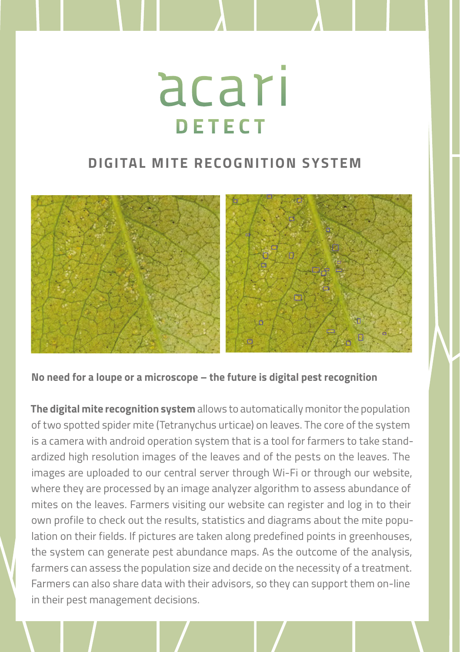## acarı **DETECT**

## **DIGITAL MITE RECOGNITION SYSTEM**



**No need for a loupe or a microscope – the future is digital pest recognition**

**The digital mite recognition system** allows to automatically monitor the population of two spotted spider mite (Tetranychus urticae) on leaves. The core of the system is a camera with android operation system that is a tool for farmers to take standardized high resolution images of the leaves and of the pests on the leaves. The images are uploaded to our central server through Wi-Fi or through our website, where they are processed by an image analyzer algorithm to assess abundance of mites on the leaves. Farmers visiting our website can register and log in to their own profile to check out the results, statistics and diagrams about the mite population on their fields. If pictures are taken along predefined points in greenhouses, the system can generate pest abundance maps. As the outcome of the analysis, farmers can assess the population size and decide on the necessity of a treatment. Farmers can also share data with their advisors, so they can support them on-line in their pest management decisions.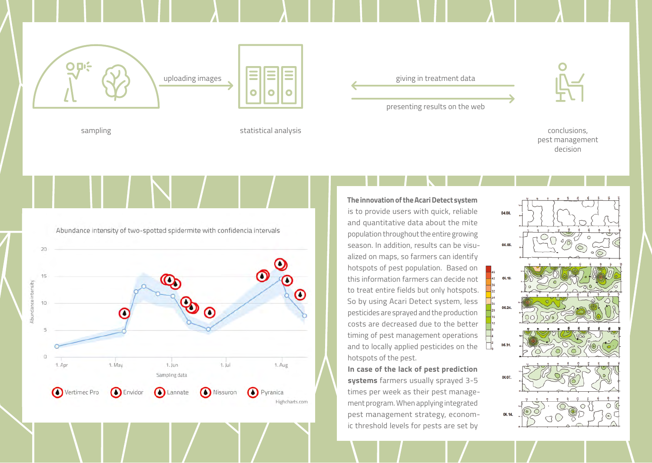

sampling statistical analysis statistical analysis statistical analysis statistical analysis statistical analysis conclusions,

presenting results on the web



pest management decision

Abundance intensity of two-spotted spidermite with confidencia intervals



**The innovation of the Acari Detect system** is to provide users with quick, reliable and quantitative data about the mite population throughout the entire growing season. In addition, results can be visualized on maps, so farmers can identify hotspots of pest population. Based on this information farmers can decide not to treat entire fields but only hotspots. So by using Acari Detect system, less pesticides are sprayed and the production costs are decreased due to the better timing of pest management operations and to locally applied pesticides on the hotspots of the pest.

**In case of the lack of pest prediction systems** farmers usually sprayed 3-5 times per week as their pest management program. When applying integrated pest management strategy, economic threshold levels for pests are set by